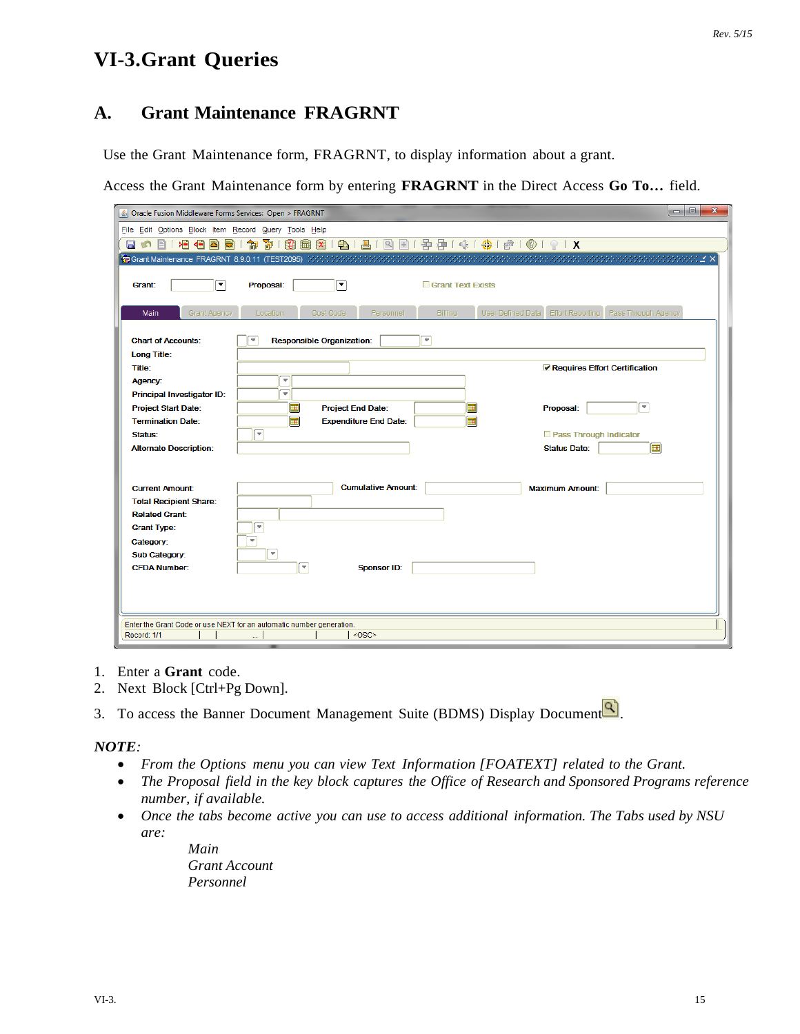# **VI-3.Grant Queries**

## **A. Grant Maintenance FRAGRNT**

Use the Grant Maintenance form, FRAGRNT, to display information about a grant.

Access the Grant Maintenance form by entering **FRAGRNT** in the Direct Access **Go To…** field.

| $ - 0 $<br>$\mathbf{x}$<br>Oracle Fusion Middleware Forms Services: Open > FRAGRNT |                                                              |                                                                             |  |  |  |  |  |
|------------------------------------------------------------------------------------|--------------------------------------------------------------|-----------------------------------------------------------------------------|--|--|--|--|--|
| File Edit Options Block Item Record Query Tools Help                               |                                                              |                                                                             |  |  |  |  |  |
| 日の日 相信因同                                                                           |                                                              |                                                                             |  |  |  |  |  |
|                                                                                    |                                                              |                                                                             |  |  |  |  |  |
|                                                                                    |                                                              |                                                                             |  |  |  |  |  |
| О<br>Grant:                                                                        | ◥<br>Proposal:                                               | <b>Grant Text Exists</b>                                                    |  |  |  |  |  |
|                                                                                    |                                                              |                                                                             |  |  |  |  |  |
| <b>Grant Agency</b><br>Main                                                        | Cost Code<br>Personnel<br>Location                           | <b>Billing</b><br>User Defined Data<br>Effort Reporting Pass Through Agency |  |  |  |  |  |
| <b>Chart of Accounts:</b>                                                          | <b>Responsible Organization:</b><br>$\overline{\phantom{a}}$ | $\overline{\phantom{a}}$                                                    |  |  |  |  |  |
| Long Title:                                                                        |                                                              |                                                                             |  |  |  |  |  |
| <b>Title:</b>                                                                      |                                                              | Requires Effort Certification                                               |  |  |  |  |  |
| Agency:                                                                            | ÷                                                            |                                                                             |  |  |  |  |  |
| Principal Investigator ID:                                                         | ٠                                                            |                                                                             |  |  |  |  |  |
| <b>Project Start Date:</b>                                                         | 匣<br><b>Project End Date:</b>                                | ×<br>囲<br>Proposal:                                                         |  |  |  |  |  |
| <b>Termination Date:</b>                                                           | 匣<br><b>Expenditure End Date:</b>                            | 屇                                                                           |  |  |  |  |  |
| Status:                                                                            | $\overline{\phantom{a}}$                                     | Pass Through Indicator<br>屇                                                 |  |  |  |  |  |
| <b>Alternate Description:</b>                                                      |                                                              | <b>Status Date:</b>                                                         |  |  |  |  |  |
|                                                                                    |                                                              |                                                                             |  |  |  |  |  |
| <b>Current Amount:</b>                                                             | <b>Cumulative Amount:</b>                                    | <b>Maximum Amount:</b>                                                      |  |  |  |  |  |
| <b>Total Recipient Share:</b>                                                      |                                                              |                                                                             |  |  |  |  |  |
| <b>Related Grant:</b>                                                              |                                                              |                                                                             |  |  |  |  |  |
| <b>Grant Type:</b>                                                                 | $\overline{\phantom{a}}$                                     |                                                                             |  |  |  |  |  |
| Category:                                                                          | $\overline{\mathbf{v}}$                                      |                                                                             |  |  |  |  |  |
| <b>Sub Category:</b><br><b>CFDA Number:</b>                                        | $\overline{\phantom{a}}$<br>▼<br><b>Sponsor ID:</b>          |                                                                             |  |  |  |  |  |
|                                                                                    |                                                              |                                                                             |  |  |  |  |  |
|                                                                                    |                                                              |                                                                             |  |  |  |  |  |
|                                                                                    |                                                              |                                                                             |  |  |  |  |  |
| Enter the Grant Code or use NEXT for an automatic number generation.               |                                                              |                                                                             |  |  |  |  |  |
| Record: 1/1                                                                        | $<$ OSC>                                                     |                                                                             |  |  |  |  |  |

- 1. Enter a **Grant** code.
- 2. Next Block [Ctrl+Pg Down].
- 3. To access the Banner Document Management Suite (BDMS) Display Document  $\boxed{Q}$ .

#### *NOTE:*

- *From the Options menu you can view Text Information [FOATEXT] related to the Grant.*
- *The Proposal field in the key block captures the Office of Research and Sponsored Programs reference number, if available.*
- *Once the tabs become active you can use to access additional information. The Tabs used by NSU are:*

*Main Grant Account Personnel*